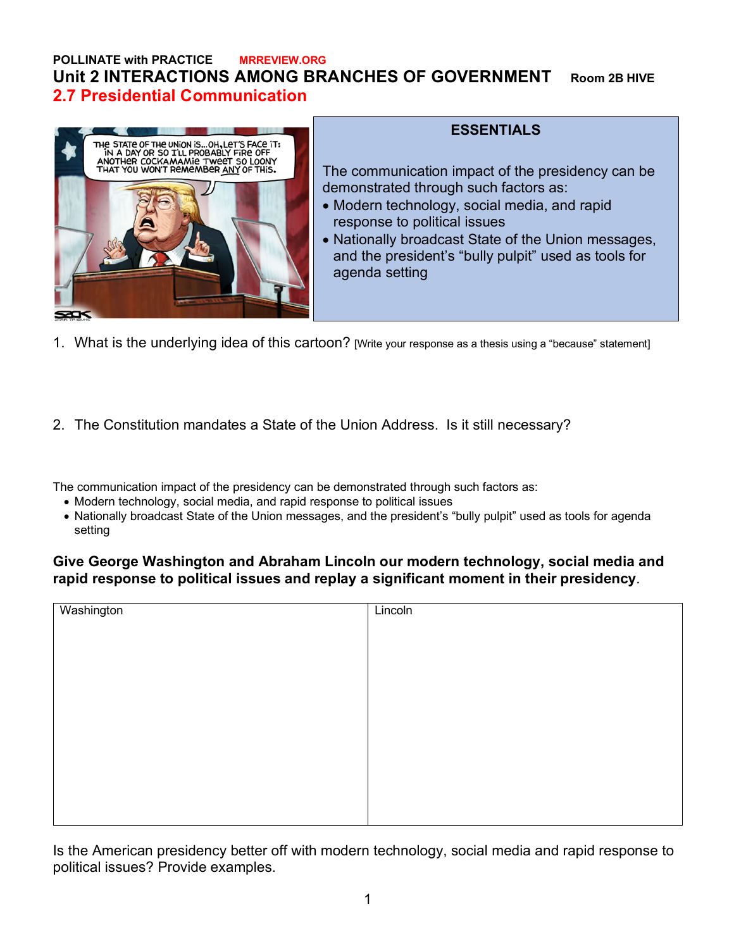### **POLLINATE with PRACTICE MRREVIEW.ORG Unit 2 INTERACTIONS AMONG BRANCHES OF GOVERNMENT Room 2B HIVE 2.7 Presidential Communication**



#### **ESSENTIALS**

The communication impact of the presidency can be demonstrated through such factors as:

- Modern technology, social media, and rapid response to political issues
- Nationally broadcast State of the Union messages, and the president's "bully pulpit" used as tools for agenda setting
- 1. What is the underlying idea of this cartoon? [Write your response as a thesis using a "because" statement]
- 2. The Constitution mandates a State of the Union Address. Is it still necessary?

The communication impact of the presidency can be demonstrated through such factors as:

- Modern technology, social media, and rapid response to political issues
- Nationally broadcast State of the Union messages, and the president's "bully pulpit" used as tools for agenda setting

#### **Give George Washington and Abraham Lincoln our modern technology, social media and rapid response to political issues and replay a significant moment in their presidency**.

| Washington | Lincoln |
|------------|---------|
|            |         |
|            |         |
|            |         |
|            |         |
|            |         |
|            |         |
|            |         |
|            |         |
|            |         |
|            |         |
|            |         |
|            |         |
|            |         |

Is the American presidency better off with modern technology, social media and rapid response to political issues? Provide examples.